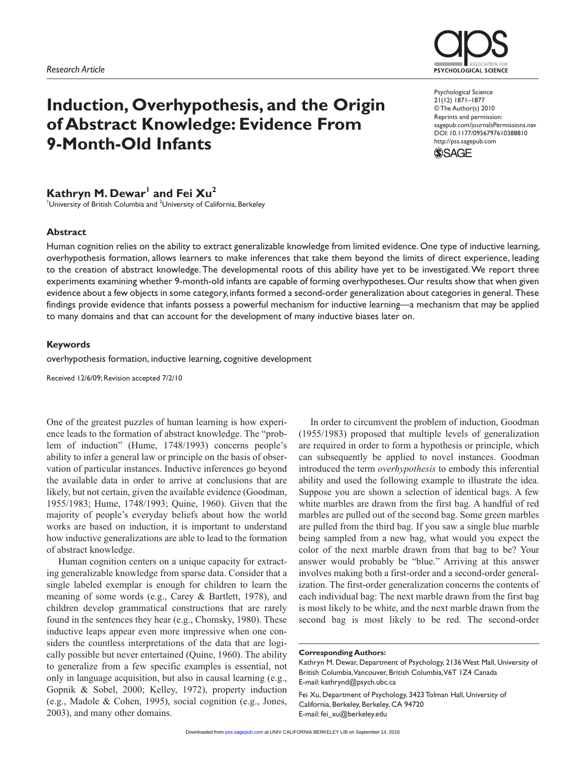



Psychological Science 21(12) 1871–1877 © The Author(s) 2010 Reprints and permission: sagepub.com/journalsPermissions.nav DOI: 10.1177/0956797610388810 http://pss.sagepub.com



# Kathryn M. Dewar<sup>1</sup> and Fei Xu<sup>2</sup>

<sup>1</sup>University of British Columbia and <sup>2</sup>University of California, Berkeley

## **Abstract**

Human cognition relies on the ability to extract generalizable knowledge from limited evidence. One type of inductive learning, overhypothesis formation, allows learners to make inferences that take them beyond the limits of direct experience, leading to the creation of abstract knowledge. The developmental roots of this ability have yet to be investigated. We report three experiments examining whether 9-month-old infants are capable of forming overhypotheses. Our results show that when given evidence about a few objects in some category, infants formed a second-order generalization about categories in general. These findings provide evidence that infants possess a powerful mechanism for inductive learning—a mechanism that may be applied to many domains and that can account for the development of many inductive biases later on.

## **Keywords**

overhypothesis formation, inductive learning, cognitive development

Received 12/6/09; Revision accepted 7/2/10

One of the greatest puzzles of human learning is how experience leads to the formation of abstract knowledge. The "problem of induction" (Hume, 1748/1993) concerns people's ability to infer a general law or principle on the basis of observation of particular instances. Inductive inferences go beyond the available data in order to arrive at conclusions that are likely, but not certain, given the available evidence (Goodman, 1955/1983; Hume, 1748/1993; Quine, 1960). Given that the majority of people's everyday beliefs about how the world works are based on induction, it is important to understand how inductive generalizations are able to lead to the formation of abstract knowledge.

Human cognition centers on a unique capacity for extracting generalizable knowledge from sparse data. Consider that a single labeled exemplar is enough for children to learn the meaning of some words (e.g., Carey & Bartlett, 1978), and children develop grammatical constructions that are rarely found in the sentences they hear (e.g., Chomsky, 1980). These inductive leaps appear even more impressive when one considers the countless interpretations of the data that are logically possible but never entertained (Quine, 1960). The ability to generalize from a few specific examples is essential, not only in language acquisition, but also in causal learning (e.g., Gopnik & Sobel, 2000; Kelley, 1972), property induction (e.g., Madole & Cohen, 1995), social cognition (e.g., Jones, 2003), and many other domains.

In order to circumvent the problem of induction, Goodman (1955/1983) proposed that multiple levels of generalization are required in order to form a hypothesis or principle, which can subsequently be applied to novel instances. Goodman introduced the term *overhypothesis* to embody this inferential ability and used the following example to illustrate the idea. Suppose you are shown a selection of identical bags. A few white marbles are drawn from the first bag. A handful of red marbles are pulled out of the second bag. Some green marbles are pulled from the third bag. If you saw a single blue marble being sampled from a new bag, what would you expect the color of the next marble drawn from that bag to be? Your answer would probably be "blue." Arriving at this answer involves making both a first-order and a second-order generalization. The first-order generalization concerns the contents of each individual bag: The next marble drawn from the first bag is most likely to be white, and the next marble drawn from the second bag is most likely to be red. The second-order

#### **Corresponding Authors:**

Kathryn M. Dewar, Department of Psychology, 2136 West Mall, University of British Columbia, Vancouver, British Columbia, V6T 1Z4 Canada E-mail: kathrynd@psych.ubc.ca

Fei Xu, Department of Psychology, 3423 Tolman Hall, University of California, Berkeley, Berkeley, CA 94720 E-mail: fei\_xu@berkeley.edu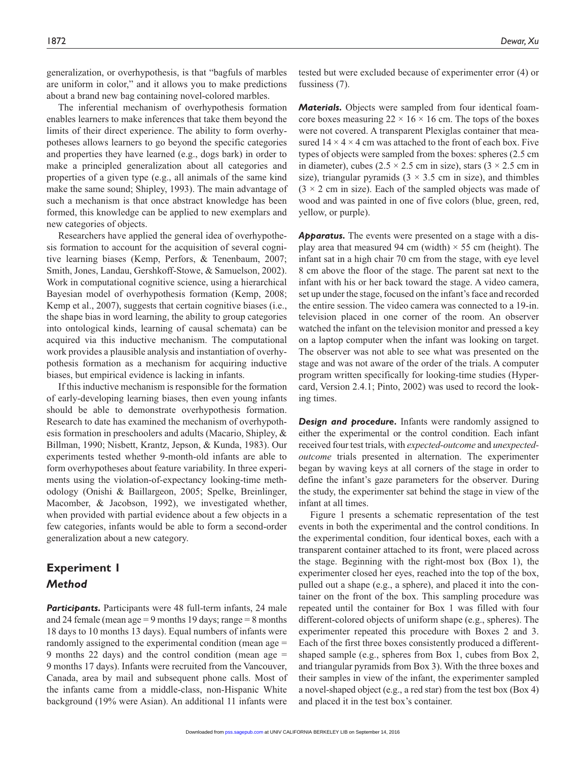generalization, or overhypothesis, is that "bagfuls of marbles are uniform in color," and it allows you to make predictions about a brand new bag containing novel-colored marbles.

The inferential mechanism of overhypothesis formation enables learners to make inferences that take them beyond the limits of their direct experience. The ability to form overhypotheses allows learners to go beyond the specific categories and properties they have learned (e.g., dogs bark) in order to make a principled generalization about all categories and properties of a given type (e.g., all animals of the same kind make the same sound; Shipley, 1993). The main advantage of such a mechanism is that once abstract knowledge has been formed, this knowledge can be applied to new exemplars and new categories of objects.

Researchers have applied the general idea of overhypothesis formation to account for the acquisition of several cognitive learning biases (Kemp, Perfors, & Tenenbaum, 2007; Smith, Jones, Landau, Gershkoff-Stowe, & Samuelson, 2002). Work in computational cognitive science, using a hierarchical Bayesian model of overhypothesis formation (Kemp, 2008; Kemp et al., 2007), suggests that certain cognitive biases (i.e., the shape bias in word learning, the ability to group categories into ontological kinds, learning of causal schemata) can be acquired via this inductive mechanism. The computational work provides a plausible analysis and instantiation of overhypothesis formation as a mechanism for acquiring inductive biases, but empirical evidence is lacking in infants.

If this inductive mechanism is responsible for the formation of early-developing learning biases, then even young infants should be able to demonstrate overhypothesis formation. Research to date has examined the mechanism of overhypothesis formation in preschoolers and adults (Macario, Shipley, & Billman, 1990; Nisbett, Krantz, Jepson, & Kunda, 1983). Our experiments tested whether 9-month-old infants are able to form overhypotheses about feature variability. In three experiments using the violation-of-expectancy looking-time methodology (Onishi & Baillargeon, 2005; Spelke, Breinlinger, Macomber, & Jacobson, 1992), we investigated whether, when provided with partial evidence about a few objects in a few categories, infants would be able to form a second-order generalization about a new category.

# **Experiment 1** *Method*

Participants. Participants were 48 full-term infants, 24 male and 24 female (mean age  $= 9$  months 19 days; range  $= 8$  months 18 days to 10 months 13 days). Equal numbers of infants were randomly assigned to the experimental condition (mean age = 9 months 22 days) and the control condition (mean age = 9 months 17 days). Infants were recruited from the Vancouver, Canada, area by mail and subsequent phone calls. Most of the infants came from a middle-class, non-Hispanic White background (19% were Asian). An additional 11 infants were

tested but were excluded because of experimenter error (4) or fussiness  $(7)$ .

*Materials.* Objects were sampled from four identical foamcore boxes measuring  $22 \times 16 \times 16$  cm. The tops of the boxes were not covered. A transparent Plexiglas container that measured  $14 \times 4 \times 4$  cm was attached to the front of each box. Five types of objects were sampled from the boxes: spheres (2.5 cm in diameter), cubes ( $2.5 \times 2.5$  cm in size), stars ( $3 \times 2.5$  cm in size), triangular pyramids  $(3 \times 3.5 \text{ cm})$  in size), and thimbles  $(3 \times 2 \text{ cm})$  in size). Each of the sampled objects was made of wood and was painted in one of five colors (blue, green, red, yellow, or purple).

*Apparatus.* The events were presented on a stage with a display area that measured 94 cm (width)  $\times$  55 cm (height). The infant sat in a high chair 70 cm from the stage, with eye level 8 cm above the floor of the stage. The parent sat next to the infant with his or her back toward the stage. A video camera, set up under the stage, focused on the infant's face and recorded the entire session. The video camera was connected to a 19-in. television placed in one corner of the room. An observer watched the infant on the television monitor and pressed a key on a laptop computer when the infant was looking on target. The observer was not able to see what was presented on the stage and was not aware of the order of the trials. A computer program written specifically for looking-time studies (Hypercard, Version 2.4.1; Pinto, 2002) was used to record the looking times.

**Design and procedure.** Infants were randomly assigned to either the experimental or the control condition. Each infant received four test trials, with *expected-outcome* and *unexpectedoutcome* trials presented in alternation. The experimenter began by waving keys at all corners of the stage in order to define the infant's gaze parameters for the observer. During the study, the experimenter sat behind the stage in view of the infant at all times.

Figure 1 presents a schematic representation of the test events in both the experimental and the control conditions. In the experimental condition, four identical boxes, each with a transparent container attached to its front, were placed across the stage. Beginning with the right-most box (Box 1), the experimenter closed her eyes, reached into the top of the box, pulled out a shape (e.g., a sphere), and placed it into the container on the front of the box. This sampling procedure was repeated until the container for Box 1 was filled with four different-colored objects of uniform shape (e.g., spheres). The experimenter repeated this procedure with Boxes 2 and 3. Each of the first three boxes consistently produced a differentshaped sample (e.g., spheres from Box 1, cubes from Box 2, and triangular pyramids from Box 3). With the three boxes and their samples in view of the infant, the experimenter sampled a novel-shaped object (e.g., a red star) from the test box (Box 4) and placed it in the test box's container.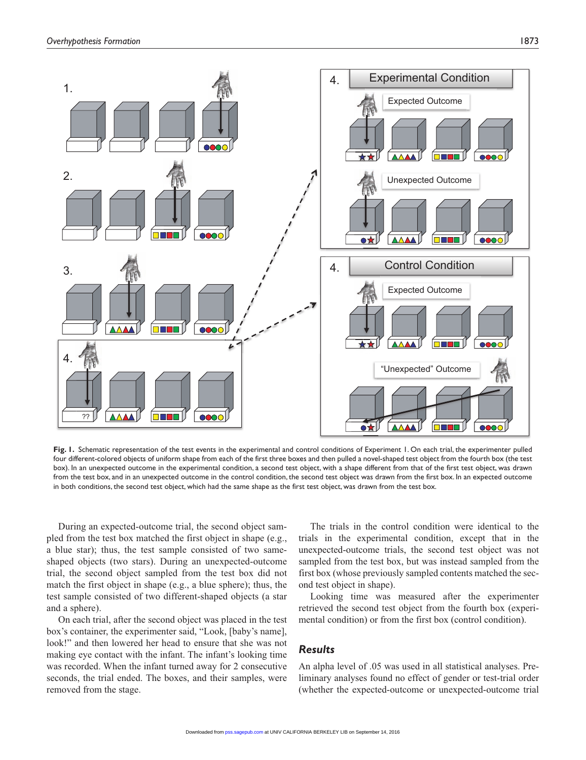

**Fig. 1.** Schematic representation of the test events in the experimental and control conditions of Experiment 1. On each trial, the experimenter pulled four different-colored objects of uniform shape from each of the first three boxes and then pulled a novel-shaped test object from the fourth box (the test box). In an unexpected outcome in the experimental condition, a second test object, with a shape different from that of the first test object, was drawn from the test box, and in an unexpected outcome in the control condition, the second test object was drawn from the first box. In an expected outcome in both conditions, the second test object, which had the same shape as the first test object, was drawn from the test box.

During an expected-outcome trial, the second object sampled from the test box matched the first object in shape (e.g., a blue star); thus, the test sample consisted of two sameshaped objects (two stars). During an unexpected-outcome trial, the second object sampled from the test box did not match the first object in shape (e.g., a blue sphere); thus, the test sample consisted of two different-shaped objects (a star and a sphere).

On each trial, after the second object was placed in the test box's container, the experimenter said, "Look, [baby's name], look!" and then lowered her head to ensure that she was not making eye contact with the infant. The infant's looking time was recorded. When the infant turned away for 2 consecutive seconds, the trial ended. The boxes, and their samples, were removed from the stage.

The trials in the control condition were identical to the trials in the experimental condition, except that in the unexpected-outcome trials, the second test object was not sampled from the test box, but was instead sampled from the first box (whose previously sampled contents matched the second test object in shape).

Looking time was measured after the experimenter retrieved the second test object from the fourth box (experimental condition) or from the first box (control condition).

## *Results*

An alpha level of .05 was used in all statistical analyses. Preliminary analyses found no effect of gender or test-trial order (whether the expected-outcome or unexpected-outcome trial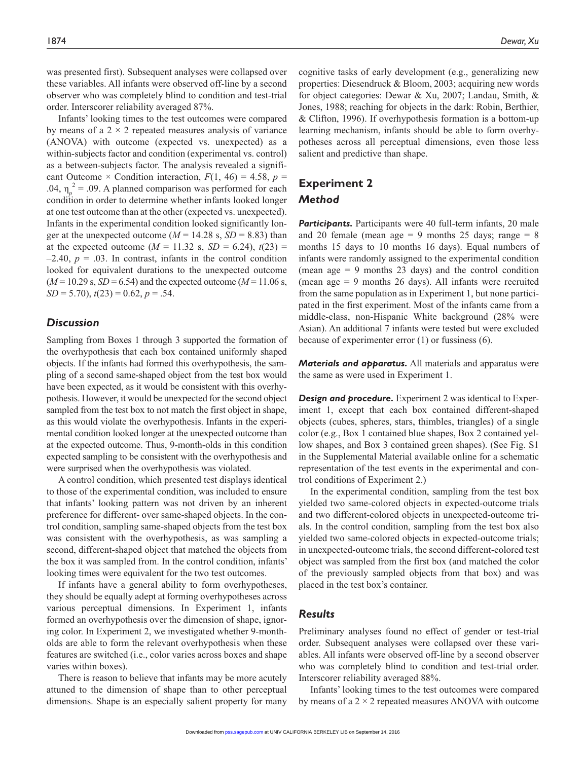was presented first). Subsequent analyses were collapsed over these variables. All infants were observed off-line by a second observer who was completely blind to condition and test-trial order. Interscorer reliability averaged 87%.

Infants' looking times to the test outcomes were compared by means of a  $2 \times 2$  repeated measures analysis of variance (ANOVA) with outcome (expected vs. unexpected) as a within-subjects factor and condition (experimental vs. control) as a between-subjects factor. The analysis revealed a significant Outcome  $\times$  Condition interaction,  $F(1, 46) = 4.58$ ,  $p =$ .04,  $\eta_p^2$  = .09. A planned comparison was performed for each condition in order to determine whether infants looked longer at one test outcome than at the other (expected vs. unexpected). Infants in the experimental condition looked significantly longer at the unexpected outcome  $(M = 14.28 \text{ s}, SD = 8.83)$  than at the expected outcome ( $M = 11.32$  s,  $SD = 6.24$ ),  $t(23) =$  $-2.40, p = .03$ . In contrast, infants in the control condition looked for equivalent durations to the unexpected outcome  $(M = 10.29 \text{ s}, SD = 6.54)$  and the expected outcome  $(M = 11.06 \text{ s},$ *SD* = 5.70), *t*(23) = 0.62, *p* = .54.

## *Discussion*

Sampling from Boxes 1 through 3 supported the formation of the overhypothesis that each box contained uniformly shaped objects. If the infants had formed this overhypothesis, the sampling of a second same-shaped object from the test box would have been expected, as it would be consistent with this overhypothesis. However, it would be unexpected for the second object sampled from the test box to not match the first object in shape, as this would violate the overhypothesis. Infants in the experimental condition looked longer at the unexpected outcome than at the expected outcome. Thus, 9-month-olds in this condition expected sampling to be consistent with the overhypothesis and were surprised when the overhypothesis was violated.

A control condition, which presented test displays identical to those of the experimental condition, was included to ensure that infants' looking pattern was not driven by an inherent preference for different- over same-shaped objects. In the control condition, sampling same-shaped objects from the test box was consistent with the overhypothesis, as was sampling a second, different-shaped object that matched the objects from the box it was sampled from. In the control condition, infants' looking times were equivalent for the two test outcomes.

If infants have a general ability to form overhypotheses, they should be equally adept at forming overhypotheses across various perceptual dimensions. In Experiment 1, infants formed an overhypothesis over the dimension of shape, ignoring color. In Experiment 2, we investigated whether 9-montholds are able to form the relevant overhypothesis when these features are switched (i.e., color varies across boxes and shape varies within boxes).

There is reason to believe that infants may be more acutely attuned to the dimension of shape than to other perceptual dimensions. Shape is an especially salient property for many cognitive tasks of early development (e.g., generalizing new properties: Diesendruck & Bloom, 2003; acquiring new words for object categories: Dewar & Xu, 2007; Landau, Smith, & Jones, 1988; reaching for objects in the dark: Robin, Berthier, & Clifton, 1996). If overhypothesis formation is a bottom-up learning mechanism, infants should be able to form overhypotheses across all perceptual dimensions, even those less salient and predictive than shape.

## **Experiment 2** *Method*

**Participants.** Participants were 40 full-term infants, 20 male and 20 female (mean age  $= 9$  months 25 days; range  $= 8$ months 15 days to 10 months 16 days). Equal numbers of infants were randomly assigned to the experimental condition (mean age  $= 9$  months 23 days) and the control condition (mean age = 9 months 26 days). All infants were recruited from the same population as in Experiment 1, but none participated in the first experiment. Most of the infants came from a middle-class, non-Hispanic White background (28% were Asian). An additional 7 infants were tested but were excluded because of experimenter error (1) or fussiness (6).

*Materials and apparatus.* All materials and apparatus were the same as were used in Experiment 1.

*Design and procedure.* Experiment 2 was identical to Experiment 1, except that each box contained different-shaped objects (cubes, spheres, stars, thimbles, triangles) of a single color (e.g., Box 1 contained blue shapes, Box 2 contained yellow shapes, and Box 3 contained green shapes). (See Fig. S1 in the Supplemental Material available online for a schematic representation of the test events in the experimental and control conditions of Experiment 2.)

In the experimental condition, sampling from the test box yielded two same-colored objects in expected-outcome trials and two different-colored objects in unexpected-outcome trials. In the control condition, sampling from the test box also yielded two same-colored objects in expected-outcome trials; in unexpected-outcome trials, the second different-colored test object was sampled from the first box (and matched the color of the previously sampled objects from that box) and was placed in the test box's container.

## *Results*

Preliminary analyses found no effect of gender or test-trial order. Subsequent analyses were collapsed over these variables. All infants were observed off-line by a second observer who was completely blind to condition and test-trial order. Interscorer reliability averaged 88%.

Infants' looking times to the test outcomes were compared by means of a  $2 \times 2$  repeated measures ANOVA with outcome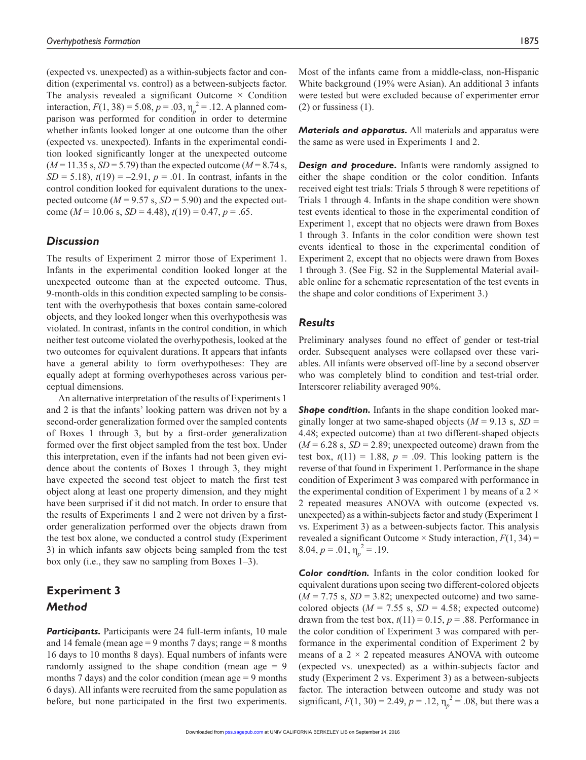(expected vs. unexpected) as a within-subjects factor and condition (experimental vs. control) as a between-subjects factor. The analysis revealed a significant Outcome  $\times$  Condition interaction,  $F(1, 38) = 5.08$ ,  $p = .03$ ,  $\eta_p^2 = .12$ . A planned comparison was performed for condition in order to determine whether infants looked longer at one outcome than the other (expected vs. unexpected). Infants in the experimental condition looked significantly longer at the unexpected outcome  $(M = 11.35 \text{ s}, SD = 5.79)$  than the expected outcome  $(M = 8.74 \text{ s},$ *SD* = 5.18),  $t(19) = -2.91$ ,  $p = .01$ . In contrast, infants in the control condition looked for equivalent durations to the unexpected outcome ( $M = 9.57$  s,  $SD = 5.90$ ) and the expected outcome ( $M = 10.06$  s,  $SD = 4.48$ ),  $t(19) = 0.47$ ,  $p = .65$ .

## *Discussion*

The results of Experiment 2 mirror those of Experiment 1. Infants in the experimental condition looked longer at the unexpected outcome than at the expected outcome. Thus, 9-month-olds in this condition expected sampling to be consistent with the overhypothesis that boxes contain same-colored objects, and they looked longer when this overhypothesis was violated. In contrast, infants in the control condition, in which neither test outcome violated the overhypothesis, looked at the two outcomes for equivalent durations. It appears that infants have a general ability to form overhypotheses: They are equally adept at forming overhypotheses across various perceptual dimensions.

An alternative interpretation of the results of Experiments 1 and 2 is that the infants' looking pattern was driven not by a second-order generalization formed over the sampled contents of Boxes 1 through 3, but by a first-order generalization formed over the first object sampled from the test box. Under this interpretation, even if the infants had not been given evidence about the contents of Boxes 1 through 3, they might have expected the second test object to match the first test object along at least one property dimension, and they might have been surprised if it did not match. In order to ensure that the results of Experiments 1 and 2 were not driven by a firstorder generalization performed over the objects drawn from the test box alone, we conducted a control study (Experiment 3) in which infants saw objects being sampled from the test box only (i.e., they saw no sampling from Boxes 1–3).

# **Experiment 3** *Method*

**Participants.** Participants were 24 full-term infants, 10 male and 14 female (mean age  $= 9$  months 7 days; range  $= 8$  months 16 days to 10 months 8 days). Equal numbers of infants were randomly assigned to the shape condition (mean age  $= 9$ ) months 7 days) and the color condition (mean age  $= 9$  months 6 days). All infants were recruited from the same population as before, but none participated in the first two experiments.

Most of the infants came from a middle-class, non-Hispanic White background (19% were Asian). An additional 3 infants were tested but were excluded because of experimenter error (2) or fussiness (1).

*Materials and apparatus.* All materials and apparatus were the same as were used in Experiments 1 and 2.

**Design and procedure.** Infants were randomly assigned to either the shape condition or the color condition. Infants received eight test trials: Trials 5 through 8 were repetitions of Trials 1 through 4. Infants in the shape condition were shown test events identical to those in the experimental condition of Experiment 1, except that no objects were drawn from Boxes 1 through 3. Infants in the color condition were shown test events identical to those in the experimental condition of Experiment 2, except that no objects were drawn from Boxes 1 through 3. (See Fig. S2 in the Supplemental Material available online for a schematic representation of the test events in the shape and color conditions of Experiment 3.)

## *Results*

Preliminary analyses found no effect of gender or test-trial order. Subsequent analyses were collapsed over these variables. All infants were observed off-line by a second observer who was completely blind to condition and test-trial order. Interscorer reliability averaged 90%.

*Shape condition.* Infants in the shape condition looked marginally longer at two same-shaped objects  $(M = 9.13 \text{ s}, SD =$ 4.48; expected outcome) than at two different-shaped objects  $(M = 6.28 \text{ s}, SD = 2.89;$  unexpected outcome) drawn from the test box,  $t(11) = 1.88$ ,  $p = .09$ . This looking pattern is the reverse of that found in Experiment 1. Performance in the shape condition of Experiment 3 was compared with performance in the experimental condition of Experiment 1 by means of a  $2 \times$ 2 repeated measures ANOVA with outcome (expected vs. unexpected) as a within-subjects factor and study (Experiment 1 vs. Experiment 3) as a between-subjects factor. This analysis revealed a significant Outcome  $\times$  Study interaction,  $F(1, 34)$  = 8.04,  $p = .01$ ,  $\eta_p^2 = .19$ .

*Color condition.* Infants in the color condition looked for equivalent durations upon seeing two different-colored objects  $(M = 7.75 \text{ s}, SD = 3.82;$  unexpected outcome) and two samecolored objects ( $M = 7.55$  s,  $SD = 4.58$ ; expected outcome) drawn from the test box,  $t(11) = 0.15$ ,  $p = .88$ . Performance in the color condition of Experiment 3 was compared with performance in the experimental condition of Experiment 2 by means of a  $2 \times 2$  repeated measures ANOVA with outcome (expected vs. unexpected) as a within-subjects factor and study (Experiment 2 vs. Experiment 3) as a between-subjects factor. The interaction between outcome and study was not significant,  $F(1, 30) = 2.49$ ,  $p = .12$ ,  $\eta_p^2 = .08$ , but there was a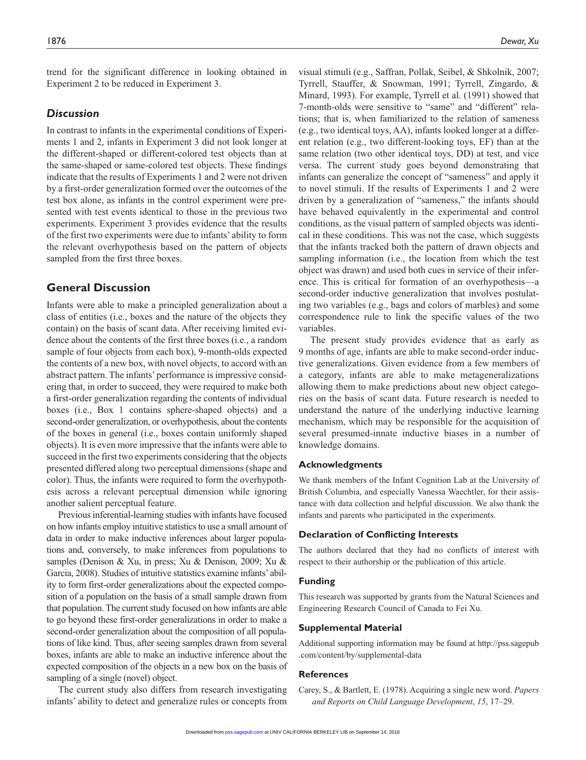trend for the significant difference in looking obtained in Experiment 2 to be reduced in Experiment 3.

## *Discussion*

In contrast to infants in the experimental conditions of Experiments 1 and 2, infants in Experiment 3 did not look longer at the different-shaped or different-colored test objects than at the same-shaped or same-colored test objects. These findings indicate that the results of Experiments 1 and 2 were not driven by a first-order generalization formed over the outcomes of the test box alone, as infants in the control experiment were presented with test events identical to those in the previous two experiments. Experiment 3 provides evidence that the results of the first two experiments were due to infants' ability to form the relevant overhypothesis based on the pattern of objects sampled from the first three boxes.

## **General Discussion**

Infants were able to make a principled generalization about a class of entities (i.e., boxes and the nature of the objects they contain) on the basis of scant data. After receiving limited evidence about the contents of the first three boxes (i.e., a random sample of four objects from each box), 9-month-olds expected the contents of a new box, with novel objects, to accord with an abstract pattern. The infants' performance is impressive considering that, in order to succeed, they were required to make both a first-order generalization regarding the contents of individual boxes (i.e., Box 1 contains sphere-shaped objects) and a second-order generalization, or overhypothesis, about the contents of the boxes in general (i.e., boxes contain uniformly shaped objects). It is even more impressive that the infants were able to succeed in the first two experiments considering that the objects presented differed along two perceptual dimensions (shape and color). Thus, the infants were required to form the overhypothesis across a relevant perceptual dimension while ignoring another salient perceptual feature.

Previous inferential-learning studies with infants have focused on how infants employ intuitive statistics to use a small amount of data in order to make inductive inferences about larger populations and, conversely, to make inferences from populations to samples (Denison & Xu, in press; Xu & Denison, 2009; Xu & Garcia, 2008). Studies of intuitive statistics examine infants' ability to form first-order generalizations about the expected composition of a population on the basis of a small sample drawn from that population. The current study focused on how infants are able to go beyond these first-order generalizations in order to make a second-order generalization about the composition of all populations of like kind. Thus, after seeing samples drawn from several boxes, infants are able to make an inductive inference about the expected composition of the objects in a new box on the basis of sampling of a single (novel) object.

The current study also differs from research investigating infants' ability to detect and generalize rules or concepts from

visual stimuli (e.g., Saffran, Pollak, Seibel, & Shkolnik, 2007; Tyrrell, Stauffer, & Snowman, 1991; Tyrrell, Zingardo, & Minard, 1993). For example, Tyrrell et al. (1991) showed that 7-month-olds were sensitive to "same" and "different" relations; that is, when familiarized to the relation of sameness (e.g., two identical toys, AA), infants looked longer at a different relation (e.g., two different-looking toys, EF) than at the same relation (two other identical toys, DD) at test, and vice versa. The current study goes beyond demonstrating that infants can generalize the concept of "sameness" and apply it to novel stimuli. If the results of Experiments 1 and 2 were driven by a generalization of "sameness," the infants should have behaved equivalently in the experimental and control conditions, as the visual pattern of sampled objects was identical in these conditions. This was not the case, which suggests that the infants tracked both the pattern of drawn objects and sampling information (i.e., the location from which the test object was drawn) and used both cues in service of their inference. This is critical for formation of an overhypothesis—a second-order inductive generalization that involves postulating two variables (e.g., bags and colors of marbles) and some correspondence rule to link the specific values of the two variables.

The present study provides evidence that as early as 9 months of age, infants are able to make second-order inductive generalizations. Given evidence from a few members of a category, infants are able to make metageneralizations allowing them to make predictions about new object categories on the basis of scant data. Future research is needed to understand the nature of the underlying inductive learning mechanism, which may be responsible for the acquisition of several presumed-innate inductive biases in a number of knowledge domains.

### **Acknowledgments**

We thank members of the Infant Cognition Lab at the University of British Columbia, and especially Vanessa Waechtler, for their assistance with data collection and helpful discussion. We also thank the infants and parents who participated in the experiments.

## **Declaration of Conflicting Interests**

The authors declared that they had no conflicts of interest with respect to their authorship or the publication of this article.

#### **Funding**

This research was supported by grants from the Natural Sciences and Engineering Research Council of Canada to Fei Xu.

### **Supplemental Material**

Additional supporting information may be found at http://pss.sagepub .com/content/by/supplemental-data

#### **References**

Carey, S., & Bartlett, E. (1978). Acquiring a single new word. *Papers and Reports on Child Language Development*, *15*, 17–29.